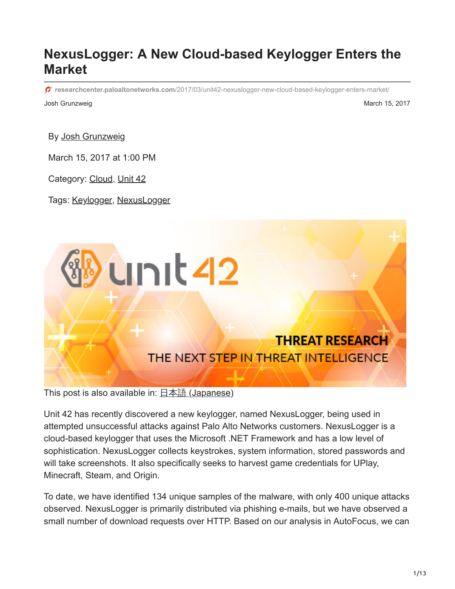# **NexusLogger: A New Cloud-based Keylogger Enters the Market**

**researchcenter.paloaltonetworks.com**[/2017/03/unit42-nexuslogger-new-cloud-based-keylogger-enters-market/](http://researchcenter.paloaltonetworks.com/2017/03/unit42-nexuslogger-new-cloud-based-keylogger-enters-market/)

Josh Grunzweig March 15, 2017

By [Josh Grunzweig](https://unit42.paloaltonetworks.com/author/joshgruznweig/)

March 15, 2017 at 1:00 PM

Category: [Cloud,](https://unit42.paloaltonetworks.com/category/cloud/) [Unit 42](https://unit42.paloaltonetworks.com/category/unit42/)

Tags: [Keylogger](https://unit42.paloaltonetworks.com/tag/keylogger/), [NexusLogger](https://unit42.paloaltonetworks.com/tag/nexuslogger/)



This post is also available in: 日本語 [\(Japanese\)](https://unit42.paloaltonetworks.jp/unit42-nexuslogger-new-cloud-based-keylogger-enters-market/)

Unit 42 has recently discovered a new keylogger, named NexusLogger, being used in attempted unsuccessful attacks against Palo Alto Networks customers. NexusLogger is a cloud-based keylogger that uses the Microsoft .NET Framework and has a low level of sophistication. NexusLogger collects keystrokes, system information, stored passwords and will take screenshots. It also specifically seeks to harvest game credentials for UPlay, Minecraft, Steam, and Origin.

To date, we have identified 134 unique samples of the malware, with only 400 unique attacks observed. NexusLogger is primarily distributed via phishing e-mails, but we have observed a small number of download requests over HTTP. Based on our analysis in AutoFocus, we can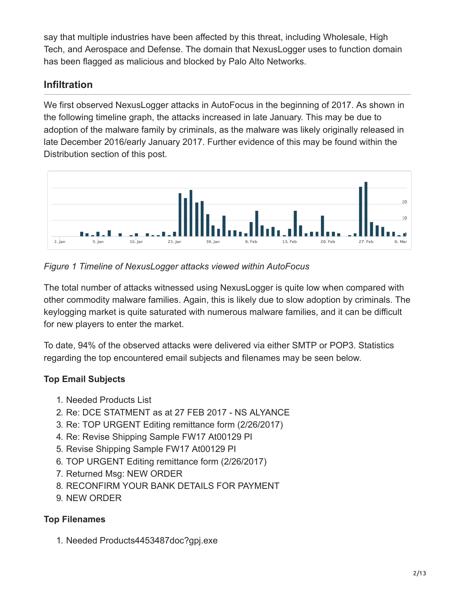say that multiple industries have been affected by this threat, including Wholesale, High Tech, and Aerospace and Defense. The domain that NexusLogger uses to function domain has been flagged as malicious and blocked by Palo Alto Networks.

## **Infiltration**

We first observed NexusLogger attacks in AutoFocus in the beginning of 2017. As shown in the following timeline graph, the attacks increased in late January. This may be due to adoption of the malware family by criminals, as the malware was likely originally released in late December 2016/early January 2017. Further evidence of this may be found within the Distribution section of this post.



*Figure 1 Timeline of NexusLogger attacks viewed within AutoFocus*

The total number of attacks witnessed using NexusLogger is quite low when compared with other commodity malware families. Again, this is likely due to slow adoption by criminals. The keylogging market is quite saturated with numerous malware families, and it can be difficult for new players to enter the market.

To date, 94% of the observed attacks were delivered via either SMTP or POP3. Statistics regarding the top encountered email subjects and filenames may be seen below.

### **Top Email Subjects**

- 1. Needed Products List
- 2. Re: DCE STATMENT as at 27 FEB 2017 NS ALYANCE
- 3. Re: TOP URGENT Editing remittance form (2/26/2017)
- 4. Re: Revise Shipping Sample FW17 At00129 PI
- 5. Revise Shipping Sample FW17 At00129 PI
- 6. TOP URGENT Editing remittance form (2/26/2017)
- 7. Returned Msg: NEW ORDER
- 8. RECONFIRM YOUR BANK DETAILS FOR PAYMENT
- 9. NEW ORDER

#### **Top Filenames**

1. Needed Products4453487doc?gpj.exe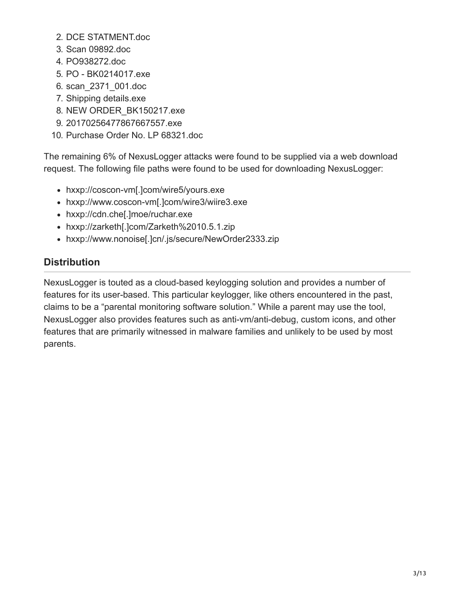- 2. DCE STATMENT.doc
- 3. Scan 09892.doc
- 4. PO938272.doc
- 5. PO BK0214017.exe
- 6. scan\_2371\_001.doc
- 7. Shipping details.exe
- 8. NEW ORDER\_BK150217.exe
- 9. 20170256477867667557.exe
- 10. Purchase Order No. LP 68321.doc

The remaining 6% of NexusLogger attacks were found to be supplied via a web download request. The following file paths were found to be used for downloading NexusLogger:

- hxxp://coscon-vm[.]com/wire5/yours.exe
- hxxp://www.coscon-vm[.]com/wire3/wiire3.exe
- hxxp://cdn.che[.]moe/ruchar.exe
- hxxp://zarketh[.]com/Zarketh%2010.5.1.zip
- hxxp://www.nonoise[.]cn/.js/secure/NewOrder2333.zip

#### **Distribution**

NexusLogger is touted as a cloud-based keylogging solution and provides a number of features for its user-based. This particular keylogger, like others encountered in the past, claims to be a "parental monitoring software solution." While a parent may use the tool, NexusLogger also provides features such as anti-vm/anti-debug, custom icons, and other features that are primarily witnessed in malware families and unlikely to be used by most parents.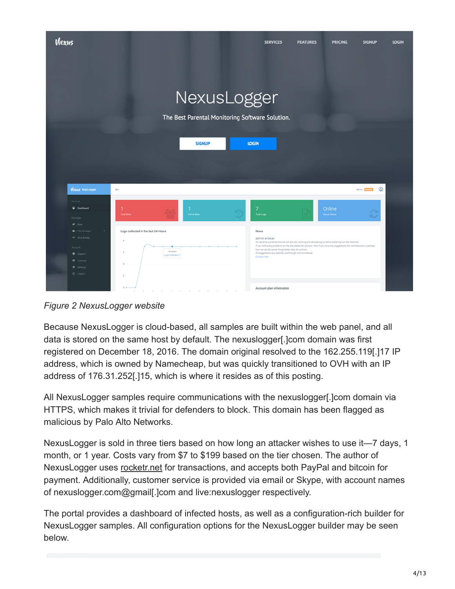

*Figure 2 NexusLogger website*

Because NexusLogger is cloud-based, all samples are built within the web panel, and all data is stored on the same host by default. The nexuslogger[.]com domain was first registered on December 18, 2016. The domain original resolved to the 162.255.119[.]17 IP address, which is owned by Namecheap, but was quickly transitioned to OVH with an IP address of 176.31.252[.]15, which is where it resides as of this posting.

All NexusLogger samples require communications with the nexuslogger[.]com domain via HTTPS, which makes it trivial for defenders to block. This domain has been flagged as malicious by Palo Alto Networks.

NexusLogger is sold in three tiers based on how long an attacker wishes to use it—7 days, 1 month, or 1 year. Costs vary from \$7 to \$199 based on the tier chosen. The author of NexusLogger uses [rocketr.net](https://rocketr.net/sellers/NexusLogger) for transactions, and accepts both PayPal and bitcoin for payment. Additionally, customer service is provided via email or Skype, with account names of nexuslogger.com@gmail[.]com and live:nexuslogger respectively.

The portal provides a dashboard of infected hosts, as well as a configuration-rich builder for NexusLogger samples. All configuration options for the NexusLogger builder may be seen below.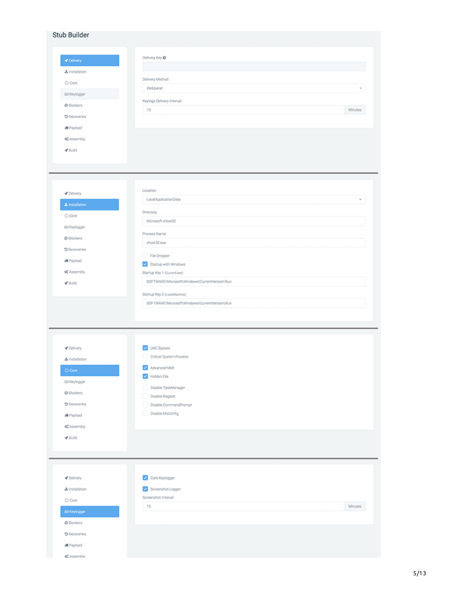| Stub Builder            |                                               |
|-------------------------|-----------------------------------------------|
|                         |                                               |
|                         |                                               |
| ✔ Delivery              | Delivery Key O                                |
| & Installation          |                                               |
| C Core                  | Delivery Method<br>Webpanel<br>٠              |
| Ell Keylogger           |                                               |
| @ Blockers              | Keylogs Delivery Interval                     |
| <b>D</b> Recoveries     | 15<br>Minutes                                 |
| 调 Payload               |                                               |
| o <sup>*</sup> Assembly |                                               |
| $4^{\circ}$ Build       |                                               |
|                         |                                               |
|                         |                                               |
|                         |                                               |
|                         | Location                                      |
| <b>√</b> Delivery       | LocalApplicationData<br>٠                     |
| A Installation          | Directory                                     |
| C) Core                 | Microsoft vhost32                             |
| Ell Keylogger           |                                               |
| C Blockers              | Process Name<br>vhost32.exe                   |
| S Recoveries            |                                               |
| 调 Payload               | File Dropper<br>Startup with Windows          |
| ot Assembly             | Startup Key 1 (CurrentJoer)                   |
| <b>√</b> Build          | SOFTWARE\Microsoft\Windows\CurrentVersion\Run |
|                         | Startup Key 2 (LocalMachine)                  |
|                         | SOFTWARE\Microsoft\Windows\CurrentVersion\Run |
|                         |                                               |
|                         |                                               |
|                         |                                               |
|                         |                                               |
|                         |                                               |
| - Delivery              | UAC Bypass<br>Critical System Process         |
| & Installation          |                                               |
| $\bigcirc$ Core         | Advanced Melt<br>Hidden File                  |
| Ell Keylogger           | Disable TaskManager                           |
| C Blockers              | Disable Regedit                               |
| <b>D</b> Recoveries     | Disable CommandPrompt                         |
| 调 Payload               | Disable MsConfig                              |
| o <sup>*</sup> Assembly |                                               |
| $4^{\circ}$ Build       |                                               |
|                         |                                               |
|                         |                                               |
|                         |                                               |
| - Delivery              | Core Keylogger                                |
| & Installation          | Screenshot Logger                             |
| C Core                  | Screenshot Interval                           |
| El Keylogger            | 15<br>Minutes                                 |
| C Blockers              |                                               |
| <b>D</b> Recoveries     |                                               |
| 调 Payload               |                                               |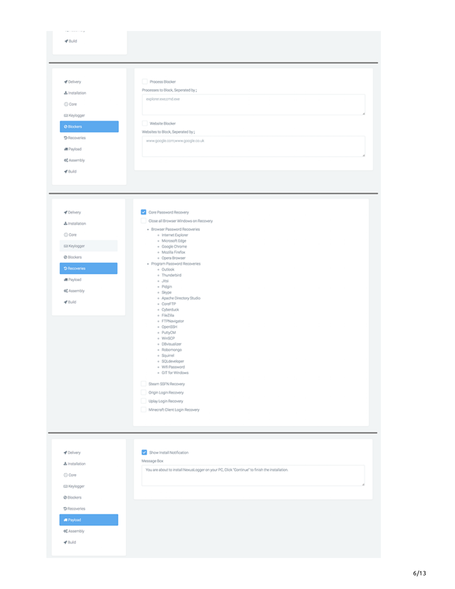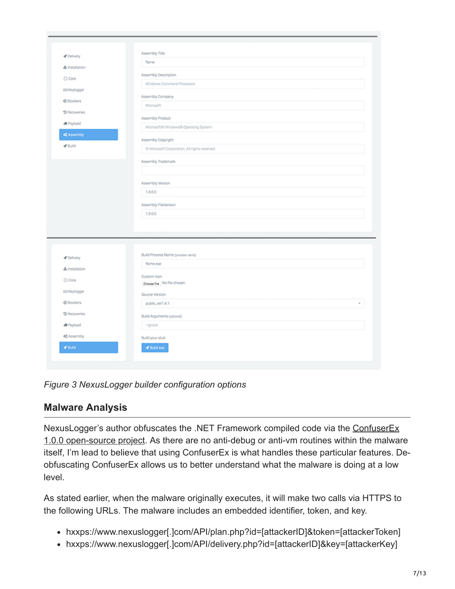|                                                             | Assembly Title                                           |
|-------------------------------------------------------------|----------------------------------------------------------|
| & Installation                                              | flame                                                    |
| C Core                                                      | Assembly Description                                     |
|                                                             | Windows Command Processor                                |
| Ell Keylogger                                               | Assembly Company                                         |
| @ Blockers                                                  | Microsoft                                                |
| <b>D</b> Recoveries                                         |                                                          |
| 调 Payload                                                   | Assembly Product<br>Microsoft® Windows® Operating System |
| of Assembly                                                 |                                                          |
| $4^{\circ}$ Build                                           | Assembly Copyright                                       |
|                                                             | @ Microsoft Corporation. All rights reserved.            |
|                                                             | Assembly Trademark                                       |
|                                                             |                                                          |
|                                                             | Assembly Version                                         |
|                                                             | 1.0.0.0                                                  |
|                                                             |                                                          |
|                                                             | Assembly FileVersion<br>1.0.0.0                          |
|                                                             |                                                          |
|                                                             |                                                          |
|                                                             |                                                          |
|                                                             |                                                          |
|                                                             |                                                          |
| - Delivery                                                  | Build Process Name (process name)                        |
| & Installation                                              | flame.com                                                |
|                                                             | Custom loon                                              |
|                                                             | Choose File No file chosen                               |
|                                                             | Source Version                                           |
| C Core<br>Ell Keylogger<br>C Blockers                       | public_ver1.4.1                                          |
|                                                             |                                                          |
|                                                             | Build Arguments (optional)<br>$-$ ignore                 |
| <b>D</b> Recoveries<br>调 Payload<br>o <sup>*</sup> Assembly | Build your stub                                          |

*Figure 3 NexusLogger builder configuration options*

## **Malware Analysis**

[NexusLogger's author obfuscates the .NET Framework compiled code via the ConfuserEx](https://yck1509.github.io/ConfuserEx/) 1.0.0 open-source project. As there are no anti-debug or anti-vm routines within the malware itself, I'm lead to believe that using ConfuserEx is what handles these particular features. Deobfuscating ConfuserEx allows us to better understand what the malware is doing at a low level.

As stated earlier, when the malware originally executes, it will make two calls via HTTPS to the following URLs. The malware includes an embedded identifier, token, and key.

- hxxps://www.nexuslogger[.]com/API/plan.php?id=[attackerID]&token=[attackerToken]
- hxxps://www.nexuslogger[.]com/API/delivery.php?id=[attackerID]&key=[attackerKey]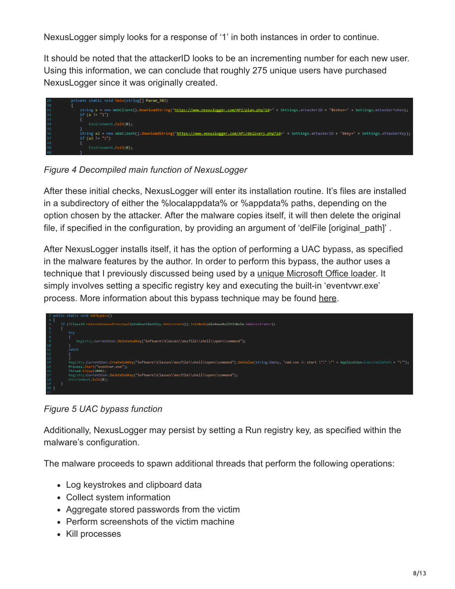NexusLogger simply looks for a response of '1' in both instances in order to continue.

It should be noted that the attackerID looks to be an incrementing number for each new user. Using this information, we can conclude that roughly 275 unique users have purchased NexusLogger since it was originally created.



*Figure 4 Decompiled main function of NexusLogger*

After these initial checks, NexusLogger will enter its installation routine. It's files are installed in a subdirectory of either the %localappdata% or %appdata% paths, depending on the option chosen by the attacker. After the malware copies itself, it will then delete the original file, if specified in the configuration, by providing an argument of 'delFile [original\_path]'.

After NexusLogger installs itself, it has the option of performing a UAC bypass, as specified in the malware features by the author. In order to perform this bypass, the author uses a technique that I previously discussed being used by a [unique Microsoft Office loader.](https://blog.paloaltonetworks.com/2017/02/unit42-unique-office-loader-deploying-multiple-malware-families/) It simply involves setting a specific registry key and executing the built-in 'eventvwr.exe' process. More information about this bypass technique may be found [here](https://enigma0x3.net/2016/08/15/fileless-uac-bypass-using-eventvwr-exe-and-registry-hijacking/).



*Figure 5 UAC bypass function*

Additionally, NexusLogger may persist by setting a Run registry key, as specified within the malware's configuration.

The malware proceeds to spawn additional threads that perform the following operations:

- Log keystrokes and clipboard data
- Collect system information
- Aggregate stored passwords from the victim
- Perform screenshots of the victim machine
- Kill processes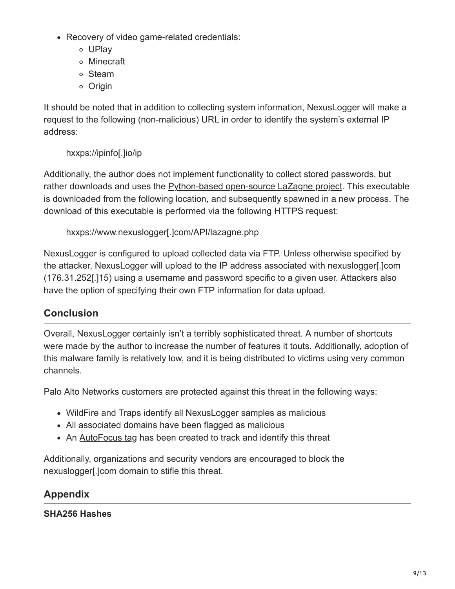- Recovery of video game-related credentials:
	- UPlay
	- Minecraft
	- Steam
	- Origin

It should be noted that in addition to collecting system information, NexusLogger will make a request to the following (non-malicious) URL in order to identify the system's external IP address:

hxxps://ipinfo[.]io/ip

Additionally, the author does not implement functionality to collect stored passwords, but rather downloads and uses the [Python-based open-source LaZagne project](https://github.com/AlessandroZ/LaZagne). This executable is downloaded from the following location, and subsequently spawned in a new process. The download of this executable is performed via the following HTTPS request:

```
hxxps://www.nexuslogger[.]com/API/lazagne.php
```
NexusLogger is configured to upload collected data via FTP. Unless otherwise specified by the attacker, NexusLogger will upload to the IP address associated with nexuslogger[.]com (176.31.252[.]15) using a username and password specific to a given user. Attackers also have the option of specifying their own FTP information for data upload.

### **Conclusion**

Overall, NexusLogger certainly isn't a terribly sophisticated threat. A number of shortcuts were made by the author to increase the number of features it touts. Additionally, adoption of this malware family is relatively low, and it is being distributed to victims using very common channels.

Palo Alto Networks customers are protected against this threat in the following ways:

- WildFire and Traps identify all NexusLogger samples as malicious
- All associated domains have been flagged as malicious
- An **[AutoFocus tag](https://autofocus.paloaltonetworks.com/#/tag/Unit42.NexusLogger) has been created to track and identify this threat**

Additionally, organizations and security vendors are encouraged to block the nexuslogger[.]com domain to stifle this threat.

## **Appendix**

#### **SHA256 Hashes**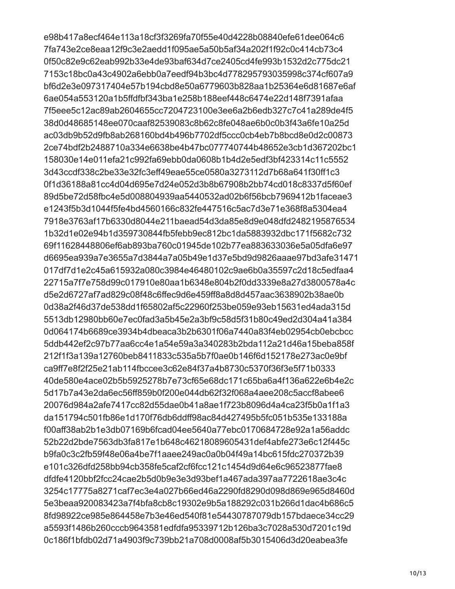e98b417a8ecf464e113a18cf3f3269fa70f55e40d4228b08840efe61dee064c6 7fa743e2ce8eaa12f9c3e2aedd1f095ae5a50b5af34a202f1f92c0c414cb73c4 0f50c82e9c62eab992b33e4de93baf634d7ce2405cd4fe993b1532d2c775dc21 7153c18bc0a43c4902a6ebb0a7eedf94b3bc4d778295793035998c374cf607a9 bf6d2e3e097317404e57b194cbd8e50a6779603b828aa1b25364e6d81687e6af 6ae054a553120a1b5ffdfbf343ba1e258b188eef448c6474e22d148f7391afaa 7f5eee5c12ac89ab2604655cc7204723100e3ee6a2b6edb327c7c41a289de4f5 38d0d48685148ee070caaf82539083c8b62c8fe048ae6b0c0b3f43a6fe10a25d ac03db9b52d9fb8ab268160bd4b496b7702df5ccc0cb4eb7b8bcd8e0d2c00873 2ce74bdf2b2488710a334e6638be4b47bc077740744b48652e3cb1d367202bc1 158030e14e011efa21c992fa69ebb0da0608b1b4d2e5edf3bf423314c11c5552 3d43ccdf338c2be33e32fc3eff49eae55ce0580a3273112d7b68a641f30ff1c3 0f1d36188a81cc4d04d695e7d24e052d3b8b67908b2bb74cd018c8337d5f60ef 89d5be72d58fbc4e5d008804939aa5440532ad02b6f56bcb7969412b1faceae3 e1243f5b3d1044f5fe4bd4560166c832fe447516c5ac7d3e71e368f8a5304ea4 7918e3763af17b6330d8044e211baead54d3da85e8d9e048dfd2482195876534 1b32d1e02e94b1d359730844fb5febb9ec812bc1da5883932dbc171f5682c732 69f11628448806ef6ab893ba760c01945de102b77ea883633036e5a05dfa6e97 d6695ea939a7e3655a7d3844a7a05b49e1d37e5bd9d9826aaae97bd3afe31471 017df7d1e2c45a615932a080c3984e46480102c9ae6b0a35597c2d18c5edfaa4 22715a7f7e758d99c017910e80aa1b6348e804b2f0dd3339e8a27d3800578a4c d5e2d6727af7ad829c08f48c6ffec9d6e459ff8a8d8d457aac3638902b38ae0b 0d38a2f46d37de538dd1f65802af5c22960f253be059e93eb15631ed4ada315d 5513db12980bb60e7ec0fad3a5b45e2a3bf9c58d5f31b80c49ed2d304a41a384 0d064174b6689ce3934b4dbeaca3b2b6301f06a7440a83f4eb02954cb0ebcbcc 5ddb442ef2c97b77aa6cc4e1a54e59a3a340283b2bda112a21d46a15beba858f 212f1f3a139a12760beb8411833c535a5b7f0ae0b146f6d152178e273ac0e9bf ca9ff7e8f2f25e21ab114fbccee3c62e84f37a4b8730c5370f36f3e5f71b0333 40de580e4ace02b5b5925278b7e73cf65e68dc171c65ba6a4f136a622e6b4e2c 5d17b7a43e2da6ec56ff859b0f200e044db62f32f068a4aee208c5accf8abee6 20076d984a2afe7417cc82d55dae0b41a8ae1f723b8096d4a4ca23f5b0a1f1a3 da151794c501fb86e1d170f76db6ddff98ac84d427495b5fc051b535e133188a f00aff38ab2b1e3db07169b6fcad04ee5640a77ebc0170684728e92a1a56addc 52b22d2bde7563db3fa817e1b648c46218089605431def4abfe273e6c12f445c b9fa0c3c2fb59f48e06a4be7f1aaee249ac0a0b04f49a14bc615fdc270372b39 e101c326dfd258bb94cb358fe5caf2cf6fcc121c1454d9d64e6c96523877fae8 dfdfe4120bbf2fcc24cae2b5d0b9e3e3d93bef1a467ada397aa7722618ae3c4c 3254c17775a8271caf7ec3e4a027b66ed46a2290fd8290d098d869e965d8460d 5e3beaa920083423a7f4bfa8cb8c19302e9b5a188292c031b266d1dac4b686c5 8fd98922ce985e864458e7b3e46ed540f81e54430787079db157bdaece34cc29 a5593f1486b260cccb9643581edfdfa95339712b126ba3c7028a530d7201c19d 0c186f1bfdb02d71a4903f9c739bb21a708d0008af5b3015406d3d20eabea3fe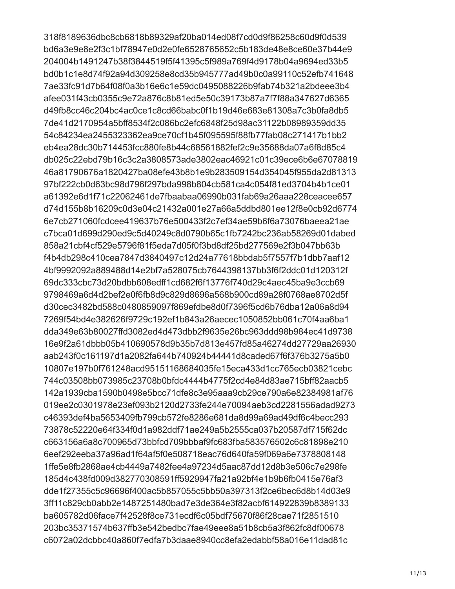318f8189636dbc8cb6818b89329af20ba014ed08f7cd0d9f86258c60d9f0d539 bd6a3e9e8e2f3c1bf78947e0d2e0fe6528765652c5b183de48e8ce60e37b44e9 204004b1491247b38f3844519f5f41395c5f989a769f4d9178b04a9694ed33b5 bd0b1c1e8d74f92a94d309258e8cd35b945777ad49b0c0a99110c52efb741648 7ae33fc91d7b64f08f0a3b16e6c1e59dc0495088226b9fab74b321a2bdeee3b4 afee031f43cb0355c9e72a876c8b81ed5e50c39173b87a7f7f88a347627d6365 d49fb8cc46c204bc4ac0ce1c8cd66babc0f1b19d46e683e81308a7c3b0fa8db5 7de41d2170954a5bff8534f2c086bc2efc6848f25d98ac31122b08989359dd35 54c84234ea2455323362ea9ce70cf1b45f095595f88fb77fab08c271417b1bb2 eb4ea28dc30b714453fcc880fe8b44c68561882fef2c9e35688da07a6f8d85c4 db025c22ebd79b16c3c2a3808573ade3802eac46921c01c39ece6b6e67078819 46a81790676a1820427ba08efe43b8b1e9b283509154d354045f955da2d81313 97bf222cb0d63bc98d796f297bda998b804cb581ca4c054f81ed3704b4b1ce01 a61392e6d1f71c22062461de7fbaabaa06990b031fab69a26aaa228ceacee657 d74d155b8b16209c0d3e04c21432a001e27a66a5ddbd801ee12f8e0cb92d6774 6e7cb271060fcdcee419637b76e500433f2c7ef34ae59b6f6a73076baeea21ae c7bca01d699d290ed9c5d40249c8d0790b65c1fb7242bc236ab58269d01dabed 858a21cbf4cf529e5796f81f5eda7d05f0f3bd8df25bd277569e2f3b047bb63b f4b4db298c410cea7847d3840497c12d24a77618bbdab5f7557f7b1dbb7aaf12 4bf9992092a889488d14e2bf7a528075cb7644398137bb3f6f2ddc01d120312f 69dc333cbc73d20bdbb608edff1cd682f6f13776f740d29c4aec45ba9e3ccb69 9798469a6d4d2bef2e0f6fb8d9c829d8696a568b900cd89a28f0768ae8702d5f d30cec3482bd588c0480859097f869efdbe8d0f7396f5cd6b76dba12a06a8d94 7269f54bd4e382626f9729c192ef1b843a26aecec1050852bb061c70f4aa6ba1 dda349e63b80027ffd3082ed4d473dbb2f9635e26bc963ddd98b984ec41d9738 16e9f2a61dbbb05b410690578d9b35b7d813e457fd85a46274dd27729aa26930 aab243f0c161197d1a2082fa644b740924b44441d8caded67f6f376b3275a5b0 10807e197b0f761248acd95151168684035fe15eca433d1cc765ecb03821cebc 744c03508bb073985c23708b0bfdc4444b4775f2cd4e84d83ae715bff82aacb5 142a1939cba1590b0498e5bcc71dfe8c3e95aaa9cb29ce790a6e82384981af76 019ee2c0301978e23ef093b2120d2733fe244e70094aeb3cd2281556adad9273 c46393def4ba5653409fb799cb572fe8286e681da8d99a69ad49df6c4becc293 73878c52220e64f334f0d1a982ddf71ae249a5b2555ca037b20587df715f62dc c663156a6a8c700965d73bbfcd709bbbaf9fc683fba583576502c6c81898e210 6eef292eeba37a96ad1f64af5f0e508718eac76d640fa59f069a6e7378808148 1ffe5e8fb2868ae4cb4449a7482fee4a97234d5aac87dd12d8b3e506c7e298fe 185d4c438fd009d382770308591ff5929947fa21a92bf4e1b9b6fb0415e76af3 dde1f27355c5c96696f400ac5b857055c5bb50a397313f2ce6bec6d8b14d03e9 3ff11c829cb0abb2e1487251480bad7e3de364e3f82acbf614922839b8389133 ba605782d06face7f42528f8ce731ecdf6c05bdf75670f86f28cae71f2851510 203bc35371574b637ffb3e542bedbc7fae49eee8a51b8cb5a3f862fc8df00678 c6072a02dcbbc40a860f7edfa7b3daae8940cc8efa2edabbf58a016e11dad81c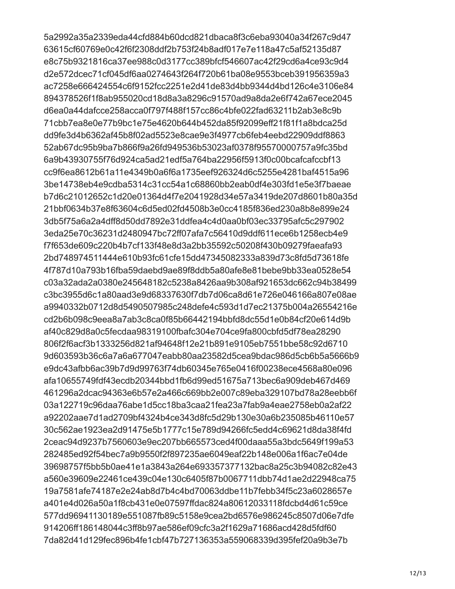5a2992a35a2339eda44cfd884b60dcd821dbaca8f3c6eba93040a34f267c9d47 63615cf60769e0c42f6f2308ddf2b753f24b8adf017e7e118a47c5af52135d87 e8c75b9321816ca37ee988c0d3177cc389bfcf546607ac42f29cd6a4ce93c9d4 d2e572dcec71cf045df6aa0274643f264f720b61ba08e9553bceb391956359a3 ac7258e666424554c6f9152fcc2251e2d41de83d4bb9344d4bd126c4e3106e84 894378526f1f8ab955020cd18d8a3a8296c91570ad9a8da2e6f742a67ece2045 d6ea0a44dafcce258acca0f797f488f157cc86c4bfe022fad63211b2ab3e8c9b 71cbb7ea8e0e77b9bc1e75e4620b644b452da85f92099eff21f81f1a8bdca25d dd9fe3d4b6362af45b8f02ad5523e8cae9e3f4977cb6feb4eebd22909ddf8863 52ab67dc95b9ba7b866f9a26fd949536b53023af0378f95570000757a9fc35bd 6a9b43930755f76d924ca5ad21edf5a764ba22956f5913f0c00bcafcafccbf13 cc9f6ea8612b61a11e4349b0a6f6a1735eef926324d6c5255e4281baf4515a96 3be14738eb4e9cdba5314c31cc54a1c68860bb2eab0df4e303fd1e5e3f7baeae b7d6c21012652c1d20e01364d4f7e2041928d34e57a3419de207d8601b80a35d 21bbf0634b37e8f63604c6d5ed02fd4508b3e0cc4185f836ed230a8b8e899e24 3db5f75a6a2a4dff8d50dd7892e31ddfea4c4d0aa0bf03ec33795afc5c297902 3eda25e70c36231d2480947bc72ff07afa7c56410d9ddf611ece6b1258ecb4e9 f7f653de609c220b4b7cf133f48e8d3a2bb35592c50208f430b09279faeafa93 2bd748974511444e610b93fc61cfe15dd47345082333a839d73c8fd5d73618fe 4f787d10a793b16fba59daebd9ae89f8ddb5a80afe8e81bebe9bb33ea0528e54 c03a32ada2a0380e245648182c5238a8426aa9b308af921653dc662c94b38499 c3bc3955d6c1a80aad3e9d68337630f7db7d06ca8d61e726e046166a807e08ae a9940332b0712d8d5490507985c248defe4c593d1d7ec21375b004a26554216e cd2b6b098c9eea8a7ab3c8ca0f85b66442194bbfd8dc55d1e0b84cf20e614d9b af40c829d8a0c5fecdaa98319100fbafc304e704ce9fa800cbfd5df78ea28290 806f2f6acf3b1333256d821af94648f12e21b891e9105eb7551bbe58c92d6710 9d603593b36c6a7a6a677047eabb80aa23582d5cea9bdac986d5cb6b5a5666b9 e9dc43afbb6ac39b7d9d99763f74db60345e765e0416f00238ece4568a80e096 afa10655749fdf43ecdb20344bbd1fb6d99ed51675a713bec6a909deb467d469 461296a2dcac94363e6b57e2a466c669bb2e007c89eba329107bd78a28eebb6f 03a122719c96daa76abe1d5cc18ba3caa21fea23a7fab9a4eae2758eb0a2af22 a92202aae7d1ad2709bf4324b4ce343d8fc5d29b130e30a6b235085b46110e57 30c562ae1923ea2d91475e5b1777c15e789d94266fc5edd4c69621d8da38f4fd 2ceac94d9237b7560603e9ec207bb665573ced4f00daaa55a3bdc5649f199a53 282485ed92f54bec7a9b9550f2f897235ae6049eaf22b148e006a1f6ac7e04de 39698757f5bb5b0ae41e1a3843a264e693357377132bac8a25c3b94082c82e43 a560e39609e22461ce439c04e130c6405f87b0067711dbb74d1ae2d22948ca75 19a7581afe74187e2e24ab8d7b4c4bd70063ddbe11b7febb34f5c23a6028657e a401e4d026a50a1f8cb431e0e07597ffdac824a80612033118fdcbd4d61c59ce 577dd96941130189e551087fb89c5158e9cea2bd6576e986245c8507d06e7dfe 914206ff186148044c3ff8b97ae586ef09cfc3a2f1629a71686acd428d5fdf60 7da82d41d129fec896b4fe1cbf47b727136353a559068339d395fef20a9b3e7b